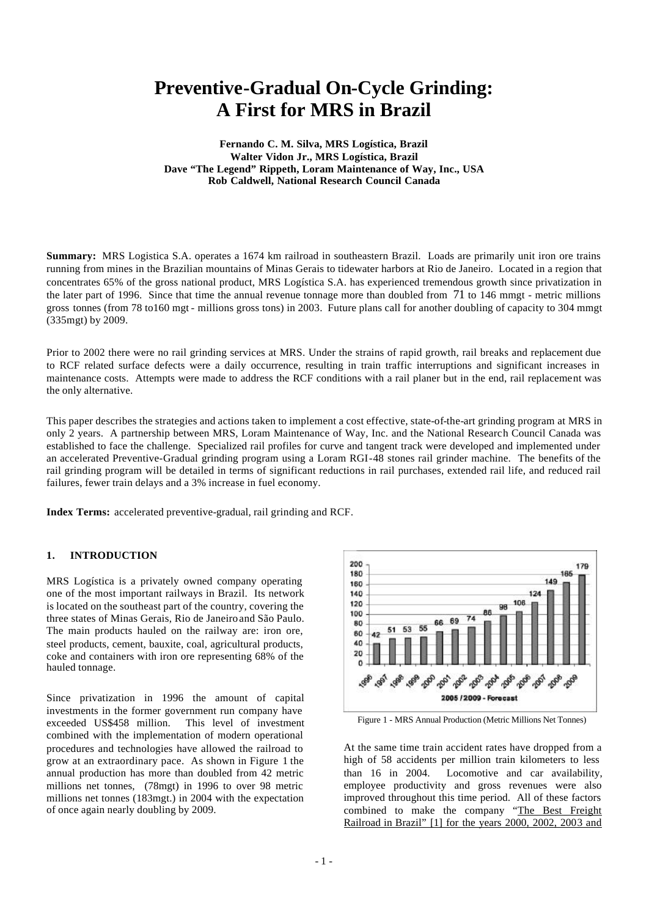# **Preventive-Gradual On-Cycle Grinding: A First for MRS in Brazil**

**Fernando C. M. Silva, MRS Logística, Brazil Walter Vidon Jr., MRS Logística, Brazil Dave "The Legend" Rippeth, Loram Maintenance of Way, Inc., USA Rob Caldwell, National Research Council Canada**

**Summary:** MRS Logistica S.A. operates a 1674 km railroad in southeastern Brazil. Loads are primarily unit iron ore trains running from mines in the Brazilian mountains of Minas Gerais to tidewater harbors at Rio de Janeiro. Located in a region that concentrates 65% of the gross national product, MRS Logística S.A. has experienced tremendous growth since privatization in the later part of 1996. Since that time the annual revenue tonnage more than doubled from 71 to 146 mmgt - metric millions gross tonnes (from 78 to160 mgt - millions gross tons) in 2003. Future plans call for another doubling of capacity to 304 mmgt (335mgt) by 2009.

Prior to 2002 there were no rail grinding services at MRS. Under the strains of rapid growth, rail breaks and replacement due to RCF related surface defects were a daily occurrence, resulting in train traffic interruptions and significant increases in maintenance costs. Attempts were made to address the RCF conditions with a rail planer but in the end, rail replacement was the only alternative.

This paper describes the strategies and actions taken to implement a cost effective, state-of-the-art grinding program at MRS in only 2 years. A partnership between MRS, Loram Maintenance of Way, Inc. and the National Research Council Canada was established to face the challenge. Specialized rail profiles for curve and tangent track were developed and implemented under an accelerated Preventive-Gradual grinding program using a Loram RGI-48 stones rail grinder machine. The benefits of the rail grinding program will be detailed in terms of significant reductions in rail purchases, extended rail life, and reduced rail failures, fewer train delays and a 3% increase in fuel economy.

**Index Terms:** accelerated preventive-gradual, rail grinding and RCF.

# **1. INTRODUCTION**

MRS Logística is a privately owned company operating one of the most important railways in Brazil. Its network is located on the southeast part of the country, covering the three states of Minas Gerais, Rio de Janeiro and São Paulo. The main products hauled on the railway are: iron ore, steel products, cement, bauxite, coal, agricultural products, coke and containers with iron ore representing 68% of the hauled tonnage.

Since privatization in 1996 the amount of capital investments in the former government run company have exceeded US\$458 million. This level of investment combined with the implementation of modern operational procedures and technologies have allowed the railroad to grow at an extraordinary pace. As shown in Figure 1 the annual production has more than doubled from 42 metric millions net tonnes, (78mgt) in 1996 to over 98 metric millions net tonnes (183mgt.) in 2004 with the expectation of once again nearly doubling by 2009.



Figure 1 - MRS Annual Production (Metric Millions Net Tonnes)

At the same time train accident rates have dropped from a high of 58 accidents per million train kilometers to less than 16 in 2004. Locomotive and car availability, employee productivity and gross revenues were also improved throughout this time period. All of these factors combined to make the company "The Best Freight Railroad in Brazil" [1] for the years 2000, 2002, 2003 and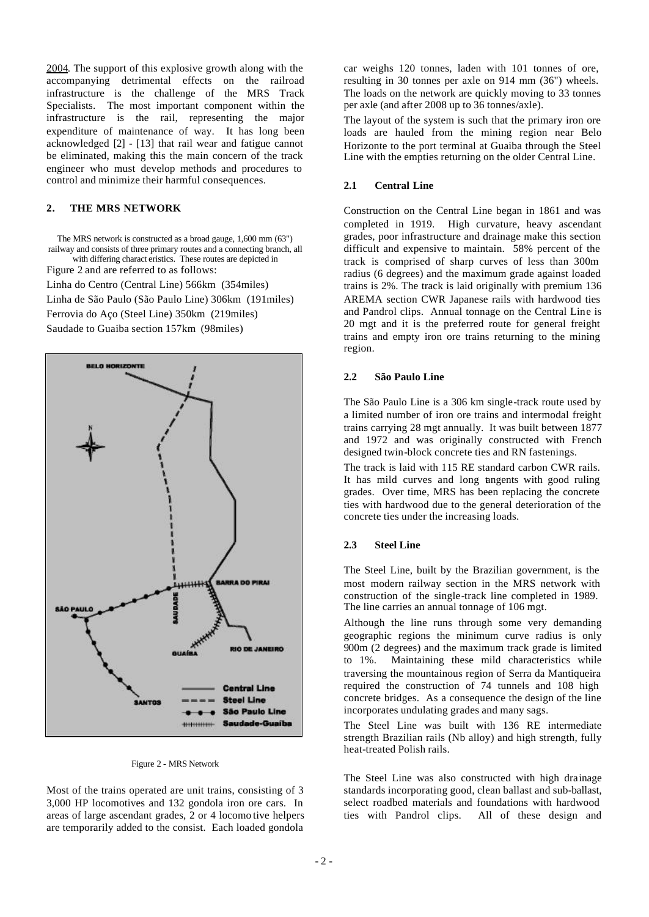2004. The support of this explosive growth along with the accompanying detrimental effects on the railroad infrastructure is the challenge of the MRS Track Specialists. The most important component within the infrastructure is the rail, representing the major expenditure of maintenance of way. It has long been acknowledged [2] - [13] that rail wear and fatigue cannot be eliminated, making this the main concern of the track engineer who must develop methods and procedures to control and minimize their harmful consequences.

# **2. THE MRS NETWORK**

The MRS network is constructed as a broad gauge, 1,600 mm (63") railway and consists of three primary routes and a connecting branch, all with differing charact eristics. These routes are depicted in

Figure 2 and are referred to as follows:

Linha do Centro (Central Line) 566km (354miles)

Linha de São Paulo (São Paulo Line) 306km (191miles)

Ferrovia do Aço (Steel Line) 350km (219miles)

Saudade to Guaiba section 157km (98miles)



#### Figure 2 - MRS Network

Most of the trains operated are unit trains, consisting of 3 3,000 HP locomotives and 132 gondola iron ore cars. In areas of large ascendant grades, 2 or 4 locomo tive helpers are temporarily added to the consist. Each loaded gondola

car weighs 120 tonnes, laden with 101 tonnes of ore, resulting in 30 tonnes per axle on 914 mm (36") wheels. The loads on the network are quickly moving to 33 tonnes per axle (and after 2008 up to 36 tonnes/axle).

The layout of the system is such that the primary iron ore loads are hauled from the mining region near Belo Horizonte to the port terminal at Guaiba through the Steel Line with the empties returning on the older Central Line.

## **2.1 Central Line**

Construction on the Central Line began in 1861 and was completed in 1919. High curvature, heavy ascendant grades, poor infrastructure and drainage make this section difficult and expensive to maintain. 58% percent of the track is comprised of sharp curves of less than 300m radius (6 degrees) and the maximum grade against loaded trains is 2%. The track is laid originally with premium 136 AREMA section CWR Japanese rails with hardwood ties and Pandrol clips. Annual tonnage on the Central Line is 20 mgt and it is the preferred route for general freight trains and empty iron ore trains returning to the mining region.

#### **2.2 São Paulo Line**

The São Paulo Line is a 306 km single-track route used by a limited number of iron ore trains and intermodal freight trains carrying 28 mgt annually. It was built between 1877 and 1972 and was originally constructed with French designed twin-block concrete ties and RN fastenings.

The track is laid with 115 RE standard carbon CWR rails. It has mild curves and long ungents with good ruling grades. Over time, MRS has been replacing the concrete ties with hardwood due to the general deterioration of the concrete ties under the increasing loads.

## **2.3 Steel Line**

The Steel Line, built by the Brazilian government, is the most modern railway section in the MRS network with construction of the single-track line completed in 1989. The line carries an annual tonnage of 106 mgt.

Although the line runs through some very demanding geographic regions the minimum curve radius is only 900m (2 degrees) and the maximum track grade is limited to 1%. Maintaining these mild characteristics while traversing the mountainous region of Serra da Mantiqueira required the construction of 74 tunnels and 108 high concrete bridges. As a consequence the design of the line incorporates undulating grades and many sags.

The Steel Line was built with 136 RE intermediate strength Brazilian rails (Nb alloy) and high strength, fully heat-treated Polish rails.

The Steel Line was also constructed with high drainage standards incorporating good, clean ballast and sub-ballast, select roadbed materials and foundations with hardwood ties with Pandrol clips. All of these design and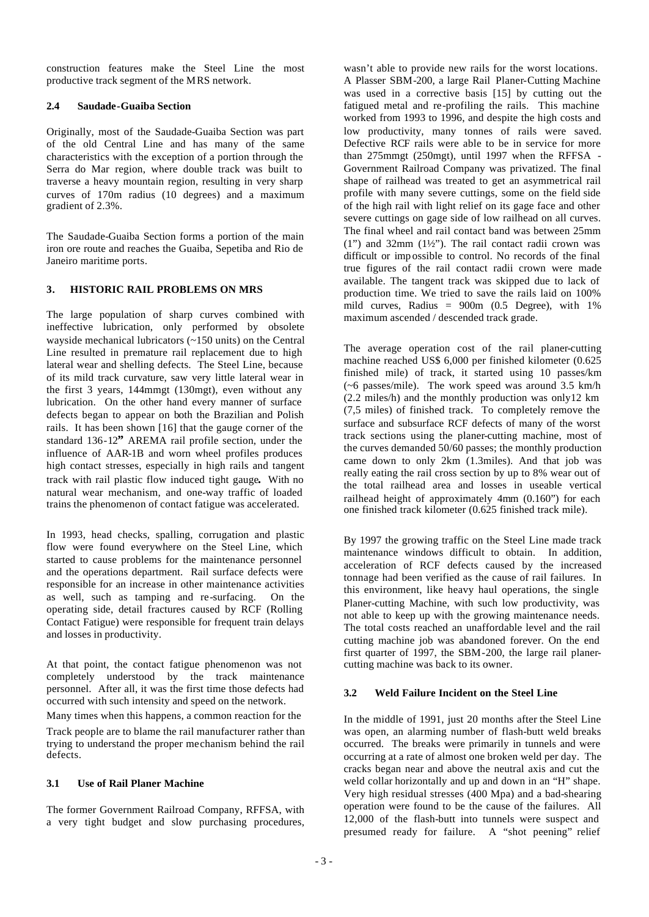construction features make the Steel Line the most productive track segment of the MRS network.

## **2.4 Saudade-Guaiba Section**

Originally, most of the Saudade-Guaiba Section was part of the old Central Line and has many of the same characteristics with the exception of a portion through the Serra do Mar region, where double track was built to traverse a heavy mountain region, resulting in very sharp curves of 170m radius (10 degrees) and a maximum gradient of 2.3%.

The Saudade-Guaiba Section forms a portion of the main iron ore route and reaches the Guaiba, Sepetiba and Rio de Janeiro maritime ports.

## **3. HISTORIC RAIL PROBLEMS ON MRS**

The large population of sharp curves combined with ineffective lubrication, only performed by obsolete wayside mechanical lubricators (~150 units) on the Central Line resulted in premature rail replacement due to high lateral wear and shelling defects. The Steel Line, because of its mild track curvature, saw very little lateral wear in the first 3 years, 144mmgt (130mgt), even without any lubrication. On the other hand every manner of surface defects began to appear on both the Brazilian and Polish rails. It has been shown [16] that the gauge corner of the standard 136-12**"** AREMA rail profile section, under the influence of AAR-1B and worn wheel profiles produces high contact stresses, especially in high rails and tangent track with rail plastic flow induced tight gauge**.** With no natural wear mechanism, and one-way traffic of loaded trains the phenomenon of contact fatigue was accelerated.

In 1993, head checks, spalling, corrugation and plastic flow were found everywhere on the Steel Line, which started to cause problems for the maintenance personnel and the operations department. Rail surface defects were responsible for an increase in other maintenance activities as well, such as tamping and re-surfacing. On the operating side, detail fractures caused by RCF (Rolling Contact Fatigue) were responsible for frequent train delays and losses in productivity.

At that point, the contact fatigue phenomenon was not completely understood by the track maintenance personnel. After all, it was the first time those defects had occurred with such intensity and speed on the network.

Many times when this happens, a common reaction for the

Track people are to blame the rail manufacturer rather than trying to understand the proper mechanism behind the rail defects.

## **3.1 Use of Rail Planer Machine**

The former Government Railroad Company, RFFSA, with a very tight budget and slow purchasing procedures,

wasn't able to provide new rails for the worst locations. A Plasser SBM-200, a large Rail Planer-Cutting Machine was used in a corrective basis [15] by cutting out the fatigued metal and re-profiling the rails. This machine worked from 1993 to 1996, and despite the high costs and low productivity, many tonnes of rails were saved. Defective RCF rails were able to be in service for more than 275mmgt (250mgt), until 1997 when the RFFSA - Government Railroad Company was privatized. The final shape of railhead was treated to get an asymmetrical rail profile with many severe cuttings, some on the field side of the high rail with light relief on its gage face and other severe cuttings on gage side of low railhead on all curves. The final wheel and rail contact band was between 25mm  $(1")$  and 32mm  $(1\frac{1}{2})$ . The rail contact radii crown was difficult or imp ossible to control. No records of the final true figures of the rail contact radii crown were made available. The tangent track was skipped due to lack of production time. We tried to save the rails laid on 100% mild curves. Radius =  $900m$  (0.5 Degree), with 1% maximum ascended / descended track grade.

The average operation cost of the rail planer-cutting machine reached US\$ 6,000 per finished kilometer (0.625 finished mile) of track, it started using 10 passes/km (~6 passes/mile). The work speed was around 3.5 km/h (2.2 miles/h) and the monthly production was only12 km (7,5 miles) of finished track. To completely remove the surface and subsurface RCF defects of many of the worst track sections using the planer-cutting machine, most of the curves demanded 50/60 passes; the monthly production came down to only 2km (1.3miles). And that job was really eating the rail cross section by up to 8% wear out of the total railhead area and losses in useable vertical railhead height of approximately 4mm (0.160") for each one finished track kilometer (0.625 finished track mile).

By 1997 the growing traffic on the Steel Line made track maintenance windows difficult to obtain. In addition, acceleration of RCF defects caused by the increased tonnage had been verified as the cause of rail failures. In this environment, like heavy haul operations, the single Planer-cutting Machine, with such low productivity, was not able to keep up with the growing maintenance needs. The total costs reached an unaffordable level and the rail cutting machine job was abandoned forever. On the end first quarter of 1997, the SBM-200, the large rail planercutting machine was back to its owner.

# **3.2 Weld Failure Incident on the Steel Line**

In the middle of 1991, just 20 months after the Steel Line was open, an alarming number of flash-butt weld breaks occurred. The breaks were primarily in tunnels and were occurring at a rate of almost one broken weld per day. The cracks began near and above the neutral axis and cut the weld collar horizontally and up and down in an "H" shape. Very high residual stresses (400 Mpa) and a bad-shearing operation were found to be the cause of the failures. All 12,000 of the flash-butt into tunnels were suspect and presumed ready for failure. A "shot peening" relief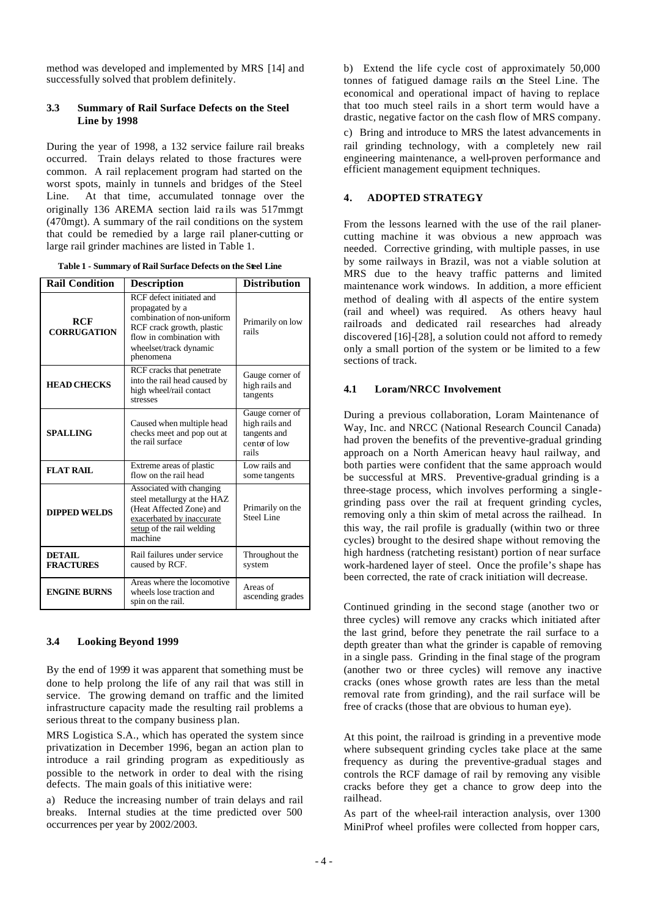method was developed and implemented by MRS [14] and successfully solved that problem definitely.

## **3.3 Summary of Rail Surface Defects on the Steel Line by 1998**

During the year of 1998, a 132 service failure rail breaks occurred. Train delays related to those fractures were common. A rail replacement program had started on the worst spots, mainly in tunnels and bridges of the Steel Line. At that time, accumulated tonnage over the originally 136 AREMA section laid ra ils was 517mmgt (470mgt). A summary of the rail conditions on the system that could be remedied by a large rail planer-cutting or large rail grinder machines are listed in Table 1.

| <b>Rail Condition</b>             | <b>Description</b>                                                                                                                                                                         | <b>Distribution</b>                                                         |  |
|-----------------------------------|--------------------------------------------------------------------------------------------------------------------------------------------------------------------------------------------|-----------------------------------------------------------------------------|--|
| <b>RCF</b><br><b>CORRUGATION</b>  | RCF defect initiated and<br>propagated by a<br>combination of non-uniform<br>RCF crack growth, plastic<br>flow in combination with<br>wheelset/track dynamic<br>phenomena                  | Primarily on low<br>rails                                                   |  |
| <b>HEAD CHECKS</b>                | RCF cracks that penetrate<br>into the rail head caused by<br>high wheel/rail contact<br>stresses                                                                                           | Gauge corner of<br>high rails and<br>tangents                               |  |
| <b>SPALLING</b>                   | Caused when multiple head<br>checks meet and pop out at<br>the rail surface                                                                                                                | Gauge corner of<br>high rails and<br>tangents and<br>center of low<br>rails |  |
| <b>FLAT RAIL</b>                  | Extreme areas of plastic<br>flow on the rail head                                                                                                                                          | Low rails and<br>some tangents                                              |  |
| <b>DIPPED WELDS</b>               | Associated with changing<br>steel metallurgy at the HAZ<br>Primarily on the<br>(Heat Affected Zone) and<br>Steel Line<br>exacerbated by inaccurate<br>setup of the rail welding<br>machine |                                                                             |  |
| <b>DETAIL</b><br><b>FRACTURES</b> | Rail failures under service<br>Throughout the<br>caused by RCF.<br>system                                                                                                                  |                                                                             |  |
| <b>ENGINE BURNS</b>               | Areas where the locomotive<br>Areas of<br>wheels lose traction and<br>ascending grades<br>spin on the rail.                                                                                |                                                                             |  |

#### **3.4 Looking Beyond 1999**

By the end of 1999 it was apparent that something must be done to help prolong the life of any rail that was still in service. The growing demand on traffic and the limited infrastructure capacity made the resulting rail problems a serious threat to the company business plan.

MRS Logistica S.A., which has operated the system since privatization in December 1996, began an action plan to introduce a rail grinding program as expeditiously as possible to the network in order to deal with the rising defects. The main goals of this initiative were:

a) Reduce the increasing number of train delays and rail breaks. Internal studies at the time predicted over 500 occurrences per year by 2002/2003.

b) Extend the life cycle cost of approximately 50,000 tonnes of fatigued damage rails on the Steel Line. The economical and operational impact of having to replace that too much steel rails in a short term would have a drastic, negative factor on the cash flow of MRS company.

c) Bring and introduce to MRS the latest advancements in rail grinding technology, with a completely new rail engineering maintenance, a well-proven performance and efficient management equipment techniques.

### **4. ADOPTED STRATEGY**

From the lessons learned with the use of the rail planercutting machine it was obvious a new approach was needed. Corrective grinding, with multiple passes, in use by some railways in Brazil, was not a viable solution at MRS due to the heavy traffic patterns and limited maintenance work windows. In addition, a more efficient method of dealing with all aspects of the entire system (rail and wheel) was required. As others heavy haul railroads and dedicated rail researches had already discovered [16]-[28], a solution could not afford to remedy only a small portion of the system or be limited to a few sections of track.

### **4.1 Loram/NRCC Involvement**

During a previous collaboration, Loram Maintenance of Way, Inc. and NRCC (National Research Council Canada) had proven the benefits of the preventive-gradual grinding approach on a North American heavy haul railway, and both parties were confident that the same approach would be successful at MRS. Preventive-gradual grinding is a three-stage process, which involves performing a singlegrinding pass over the rail at frequent grinding cycles, removing only a thin skim of metal across the railhead. In this way, the rail profile is gradually (within two or three cycles) brought to the desired shape without removing the high hardness (ratcheting resistant) portion of near surface work-hardened layer of steel. Once the profile's shape has been corrected, the rate of crack initiation will decrease.

Continued grinding in the second stage (another two or three cycles) will remove any cracks which initiated after the last grind, before they penetrate the rail surface to a depth greater than what the grinder is capable of removing in a single pass. Grinding in the final stage of the program (another two or three cycles) will remove any inactive cracks (ones whose growth rates are less than the metal removal rate from grinding), and the rail surface will be free of cracks (those that are obvious to human eye).

At this point, the railroad is grinding in a preventive mode where subsequent grinding cycles take place at the same frequency as during the preventive-gradual stages and controls the RCF damage of rail by removing any visible cracks before they get a chance to grow deep into the railhead.

As part of the wheel-rail interaction analysis, over 1300 MiniProf wheel profiles were collected from hopper cars,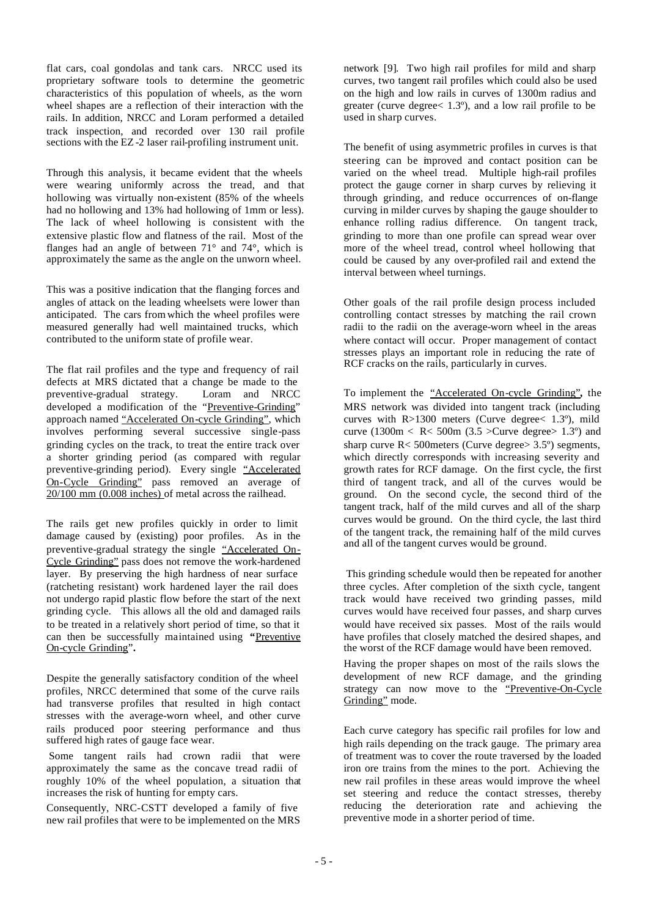flat cars, coal gondolas and tank cars. NRCC used its proprietary software tools to determine the geometric characteristics of this population of wheels, as the worn wheel shapes are a reflection of their interaction with the rails. In addition, NRCC and Loram performed a detailed track inspection, and recorded over 130 rail profile sections with the EZ -2 laser rail-profiling instrument unit.

Through this analysis, it became evident that the wheels were wearing uniformly across the tread, and that hollowing was virtually non-existent (85% of the wheels had no hollowing and 13% had hollowing of 1mm or less). The lack of wheel hollowing is consistent with the extensive plastic flow and flatness of the rail. Most of the flanges had an angle of between 71° and 74°, which is approximately the same as the angle on the unworn wheel.

This was a positive indication that the flanging forces and angles of attack on the leading wheelsets were lower than anticipated. The cars from which the wheel profiles were measured generally had well maintained trucks, which contributed to the uniform state of profile wear.

The flat rail profiles and the type and frequency of rail defects at MRS dictated that a change be made to the preventive-gradual strategy. Loram and NRCC developed a modification of the "Preventive-Grinding" approach named "Accelerated On-cycle Grinding", which involves performing several successive single-pass grinding cycles on the track, to treat the entire track over a shorter grinding period (as compared with regular preventive-grinding period). Every single "Accelerated On-Cycle Grinding" pass removed an average of 20/100 mm (0.008 inches) of metal across the railhead.

The rails get new profiles quickly in order to limit damage caused by (existing) poor profiles. As in the preventive-gradual strategy the single "Accelerated On-Cycle Grinding" pass does not remove the work-hardened layer. By preserving the high hardness of near surface (ratcheting resistant) work hardened layer the rail does not undergo rapid plastic flow before the start of the next grinding cycle. This allows all the old and damaged rails to be treated in a relatively short period of time, so that it can then be successfully maintained using "Preventive" On-cycle Grinding"**.** 

Despite the generally satisfactory condition of the wheel profiles, NRCC determined that some of the curve rails had transverse profiles that resulted in high contact stresses with the average-worn wheel, and other curve rails produced poor steering performance and thus suffered high rates of gauge face wear.

 Some tangent rails had crown radii that were approximately the same as the concave tread radii of roughly 10% of the wheel population, a situation that increases the risk of hunting for empty cars.

Consequently, NRC-CSTT developed a family of five new rail profiles that were to be implemented on the MRS network [9]. Two high rail profiles for mild and sharp curves, two tangent rail profiles which could also be used on the high and low rails in curves of 1300m radius and greater (curve degree< 1.3º), and a low rail profile to be used in sharp curves.

The benefit of using asymmetric profiles in curves is that steering can be improved and contact position can be varied on the wheel tread. Multiple high-rail profiles protect the gauge corner in sharp curves by relieving it through grinding, and reduce occurrences of on-flange curving in milder curves by shaping the gauge shoulder to enhance rolling radius difference. On tangent track, grinding to more than one profile can spread wear over more of the wheel tread, control wheel hollowing that could be caused by any over-profiled rail and extend the interval between wheel turnings.

Other goals of the rail profile design process included controlling contact stresses by matching the rail crown radii to the radii on the average-worn wheel in the areas where contact will occur. Proper management of contact stresses plays an important role in reducing the rate of RCF cracks on the rails, particularly in curves.

To implement the "Accelerated On-cycle Grinding"*,* the MRS network was divided into tangent track (including curves with R>1300 meters (Curve degree< 1.3º), mild curve (1300m  $\langle$  R $\langle$  500m (3.5  $\rangle$ Curve degree $\rangle$  1.3°) and sharp curve R< 500meters (Curve degree> 3.5º) segments, which directly corresponds with increasing severity and growth rates for RCF damage. On the first cycle, the first third of tangent track, and all of the curves would be ground. On the second cycle, the second third of the tangent track, half of the mild curves and all of the sharp curves would be ground. On the third cycle, the last third of the tangent track, the remaining half of the mild curves and all of the tangent curves would be ground.

 This grinding schedule would then be repeated for another three cycles. After completion of the sixth cycle, tangent track would have received two grinding passes, mild curves would have received four passes, and sharp curves would have received six passes. Most of the rails would have profiles that closely matched the desired shapes, and the worst of the RCF damage would have been removed.

Having the proper shapes on most of the rails slows the development of new RCF damage, and the grinding strategy can now move to the "Preventive-On-Cycle" Grinding" mode.

Each curve category has specific rail profiles for low and high rails depending on the track gauge. The primary area of treatment was to cover the route traversed by the loaded iron ore trains from the mines to the port. Achieving the new rail profiles in these areas would improve the wheel set steering and reduce the contact stresses, thereby reducing the deterioration rate and achieving the preventive mode in a shorter period of time.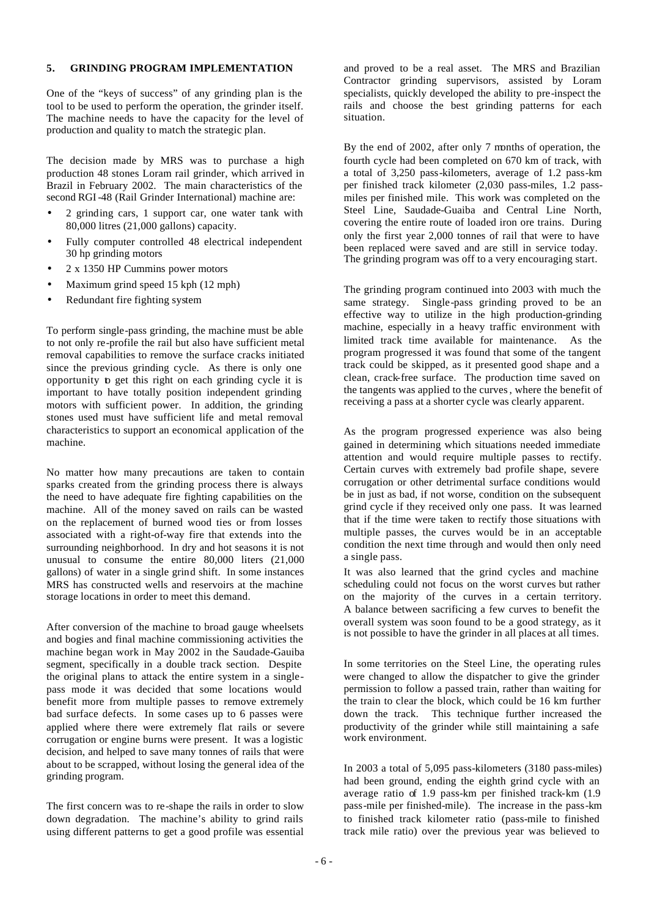## **5. GRINDING PROGRAM IMPLEMENTATION**

One of the "keys of success" of any grinding plan is the tool to be used to perform the operation, the grinder itself. The machine needs to have the capacity for the level of production and quality to match the strategic plan.

The decision made by MRS was to purchase a high production 48 stones Loram rail grinder, which arrived in Brazil in February 2002. The main characteristics of the second RGI-48 (Rail Grinder International) machine are:

- 2 grinding cars, 1 support car, one water tank with 80,000 litres (21,000 gallons) capacity.
- Fully computer controlled 48 electrical independent 30 hp grinding motors
- 2 x 1350 HP Cummins power motors
- Maximum grind speed 15 kph (12 mph)
- Redundant fire fighting system

To perform single-pass grinding, the machine must be able to not only re-profile the rail but also have sufficient metal removal capabilities to remove the surface cracks initiated since the previous grinding cycle. As there is only one opportunity to get this right on each grinding cycle it is important to have totally position independent grinding motors with sufficient power. In addition, the grinding stones used must have sufficient life and metal removal characteristics to support an economical application of the machine.

No matter how many precautions are taken to contain sparks created from the grinding process there is always the need to have adequate fire fighting capabilities on the machine. All of the money saved on rails can be wasted on the replacement of burned wood ties or from losses associated with a right-of-way fire that extends into the surrounding neighborhood. In dry and hot seasons it is not unusual to consume the entire 80,000 liters (21,000 gallons) of water in a single grind shift. In some instances MRS has constructed wells and reservoirs at the machine storage locations in order to meet this demand.

After conversion of the machine to broad gauge wheelsets and bogies and final machine commissioning activities the machine began work in May 2002 in the Saudade-Gauiba segment, specifically in a double track section. Despite the original plans to attack the entire system in a singlepass mode it was decided that some locations would benefit more from multiple passes to remove extremely bad surface defects. In some cases up to 6 passes were applied where there were extremely flat rails or severe corrugation or engine burns were present. It was a logistic decision, and helped to save many tonnes of rails that were about to be scrapped, without losing the general idea of the grinding program.

The first concern was to re-shape the rails in order to slow down degradation. The machine's ability to grind rails using different patterns to get a good profile was essential and proved to be a real asset. The MRS and Brazilian Contractor grinding supervisors, assisted by Loram specialists, quickly developed the ability to pre-inspect the rails and choose the best grinding patterns for each situation.

By the end of 2002, after only 7 months of operation, the fourth cycle had been completed on 670 km of track, with a total of 3,250 pass-kilometers, average of 1.2 pass-km per finished track kilometer (2,030 pass-miles, 1.2 passmiles per finished mile. This work was completed on the Steel Line, Saudade-Guaiba and Central Line North, covering the entire route of loaded iron ore trains. During only the first year 2,000 tonnes of rail that were to have been replaced were saved and are still in service today. The grinding program was off to a very encouraging start.

The grinding program continued into 2003 with much the same strategy. Single-pass grinding proved to be an effective way to utilize in the high production-grinding machine, especially in a heavy traffic environment with limited track time available for maintenance. As the program progressed it was found that some of the tangent track could be skipped, as it presented good shape and a clean, crack-free surface. The production time saved on the tangents was applied to the curves, where the benefit of receiving a pass at a shorter cycle was clearly apparent.

As the program progressed experience was also being gained in determining which situations needed immediate attention and would require multiple passes to rectify. Certain curves with extremely bad profile shape, severe corrugation or other detrimental surface conditions would be in just as bad, if not worse, condition on the subsequent grind cycle if they received only one pass. It was learned that if the time were taken to rectify those situations with multiple passes, the curves would be in an acceptable condition the next time through and would then only need a single pass.

It was also learned that the grind cycles and machine scheduling could not focus on the worst curves but rather on the majority of the curves in a certain territory. A balance between sacrificing a few curves to benefit the overall system was soon found to be a good strategy, as it is not possible to have the grinder in all places at all times.

In some territories on the Steel Line, the operating rules were changed to allow the dispatcher to give the grinder permission to follow a passed train, rather than waiting for the train to clear the block, which could be 16 km further down the track. This technique further increased the productivity of the grinder while still maintaining a safe work environment.

In 2003 a total of 5,095 pass-kilometers (3180 pass-miles) had been ground, ending the eighth grind cycle with an average ratio of 1.9 pass-km per finished track-km (1.9 pass-mile per finished-mile). The increase in the pass-km to finished track kilometer ratio (pass-mile to finished track mile ratio) over the previous year was believed to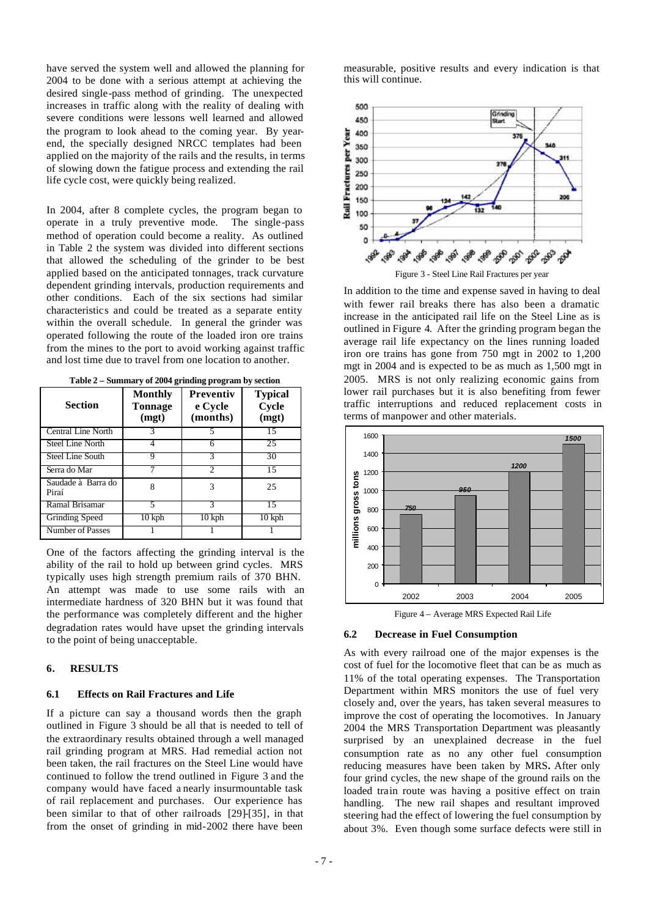have served the system well and allowed the planning for 2004 to be done with a serious attempt at achieving the desired single-pass method of grinding. The unexpected increases in traffic along with the reality of dealing with severe conditions were lessons well learned and allowed the program to look ahead to the coming year. By yearend, the specially designed NRCC templates had been applied on the majority of the rails and the results, in terms of slowing down the fatigue process and extending the rail life cycle cost, were quickly being realized.

In 2004, after 8 complete cycles, the program began to operate in a truly preventive mode. The single-pass method of operation could become a reality. As outlined in Table 2 the system was divided into different sections that allowed the scheduling of the grinder to be best applied based on the anticipated tonnages, track curvature dependent grinding intervals, production requirements and other conditions. Each of the six sections had similar characteristics and could be treated as a separate entity within the overall schedule. In general the grinder was operated following the route of the loaded iron ore trains from the mines to the port to avoid working against traffic and lost time due to travel from one location to another.

**Table 2 – Summary of 2004 grinding program by section**

| <b>Section</b>              | <b>Monthly</b><br>Tonnage<br>(mgt) | <b>Preventiv</b><br>e Cycle<br>(months) | <b>Typical</b><br>Cycle<br>(mgt) |
|-----------------------------|------------------------------------|-----------------------------------------|----------------------------------|
| <b>Central Line North</b>   |                                    |                                         | 15                               |
| <b>Steel Line North</b>     | 4                                  |                                         | 25                               |
| <b>Steel Line South</b>     | Q                                  |                                         | 30                               |
| Serra do Mar                |                                    | 2                                       | 15                               |
| Saudade à Barra do<br>Piraí | 8                                  | 3                                       | 25                               |
| Ramal Brisamar              |                                    | 3                                       | 15                               |
| <b>Grinding Speed</b>       | $10$ kph                           | $10 \text{ kph}$                        | $10 \text{ kph}$                 |
| Number of Passes            |                                    |                                         |                                  |

One of the factors affecting the grinding interval is the ability of the rail to hold up between grind cycles. MRS typically uses high strength premium rails of 370 BHN. An attempt was made to use some rails with an intermediate hardness of 320 BHN but it was found that the performance was completely different and the higher degradation rates would have upset the grinding intervals to the point of being unacceptable.

#### **6. RESULTS**

#### **6.1 Effects on Rail Fractures and Life**

If a picture can say a thousand words then the graph outlined in Figure 3 should be all that is needed to tell of the extraordinary results obtained through a well managed rail grinding program at MRS. Had remedial action not been taken, the rail fractures on the Steel Line would have continued to follow the trend outlined in Figure 3 and the company would have faced a nearly insurmountable task of rail replacement and purchases. Our experience has been similar to that of other railroads [29]-[35], in that from the onset of grinding in mid-2002 there have been

measurable, positive results and every indication is that this will continue.



Figure 3 - Steel Line Rail Fractures per year

In addition to the time and expense saved in having to deal with fewer rail breaks there has also been a dramatic increase in the anticipated rail life on the Steel Line as is outlined in Figure 4. After the grinding program began the average rail life expectancy on the lines running loaded iron ore trains has gone from 750 mgt in 2002 to 1,200 mgt in 2004 and is expected to be as much as 1,500 mgt in 2005. MRS is not only realizing economic gains from lower rail purchases but it is also benefiting from fewer traffic interruptions and reduced replacement costs in terms of manpower and other materials.



Figure 4 – Average MRS Expected Rail Life

#### **6.2 Decrease in Fuel Consumption**

As with every railroad one of the major expenses is the cost of fuel for the locomotive fleet that can be as much as 11% of the total operating expenses. The Transportation Department within MRS monitors the use of fuel very closely and, over the years, has taken several measures to improve the cost of operating the locomotives. In January 2004 the MRS Transportation Department was pleasantly surprised by an unexplained decrease in the fuel consumption rate as no any other fuel consumption reducing measures have been taken by MRS**.** After only four grind cycles, the new shape of the ground rails on the loaded train route was having a positive effect on train handling. The new rail shapes and resultant improved steering had the effect of lowering the fuel consumption by about 3%. Even though some surface defects were still in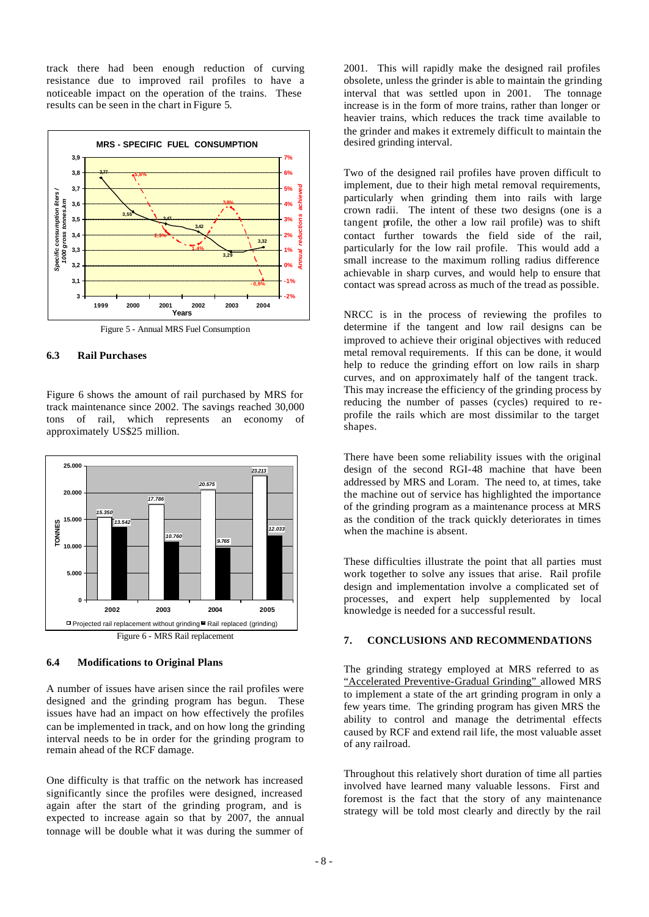track there had been enough reduction of curving resistance due to improved rail profiles to have a noticeable impact on the operation of the trains. These results can be seen in the chart in Figure 5.



Figure 5 - Annual MRS Fuel Consumption

## **6.3 Rail Purchases**

Figure 6 shows the amount of rail purchased by MRS for track maintenance since 2002. The savings reached 30,000 tons of rail, which represents an economy of approximately US\$25 million.



#### **6.4 Modifications to Original Plans**

A number of issues have arisen since the rail profiles were designed and the grinding program has begun. These issues have had an impact on how effectively the profiles can be implemented in track, and on how long the grinding interval needs to be in order for the grinding program to remain ahead of the RCF damage.

One difficulty is that traffic on the network has increased significantly since the profiles were designed, increased again after the start of the grinding program, and is expected to increase again so that by 2007, the annual tonnage will be double what it was during the summer of 2001. This will rapidly make the designed rail profiles obsolete, unless the grinder is able to maintain the grinding interval that was settled upon in 2001. The tonnage increase is in the form of more trains, rather than longer or heavier trains, which reduces the track time available to the grinder and makes it extremely difficult to maintain the desired grinding interval.

Two of the designed rail profiles have proven difficult to implement, due to their high metal removal requirements, particularly when grinding them into rails with large crown radii. The intent of these two designs (one is a tangent profile, the other a low rail profile) was to shift contact further towards the field side of the rail, particularly for the low rail profile. This would add a small increase to the maximum rolling radius difference achievable in sharp curves, and would help to ensure that contact was spread across as much of the tread as possible.

NRCC is in the process of reviewing the profiles to determine if the tangent and low rail designs can be improved to achieve their original objectives with reduced metal removal requirements. If this can be done, it would help to reduce the grinding effort on low rails in sharp curves, and on approximately half of the tangent track. This may increase the efficiency of the grinding process by reducing the number of passes (cycles) required to reprofile the rails which are most dissimilar to the target shapes.

There have been some reliability issues with the original design of the second RGI-48 machine that have been addressed by MRS and Loram. The need to, at times, take the machine out of service has highlighted the importance of the grinding program as a maintenance process at MRS as the condition of the track quickly deteriorates in times when the machine is absent.

These difficulties illustrate the point that all parties must work together to solve any issues that arise. Rail profile design and implementation involve a complicated set of processes, and expert help supplemented by local knowledge is needed for a successful result.

# **7. CONCLUSIONS AND RECOMMENDATIONS**

The grinding strategy employed at MRS referred to as "Accelerated Preventive-Gradual Grinding" allowed MRS to implement a state of the art grinding program in only a few years time. The grinding program has given MRS the ability to control and manage the detrimental effects caused by RCF and extend rail life, the most valuable asset of any railroad.

Throughout this relatively short duration of time all parties involved have learned many valuable lessons. First and foremost is the fact that the story of any maintenance strategy will be told most clearly and directly by the rail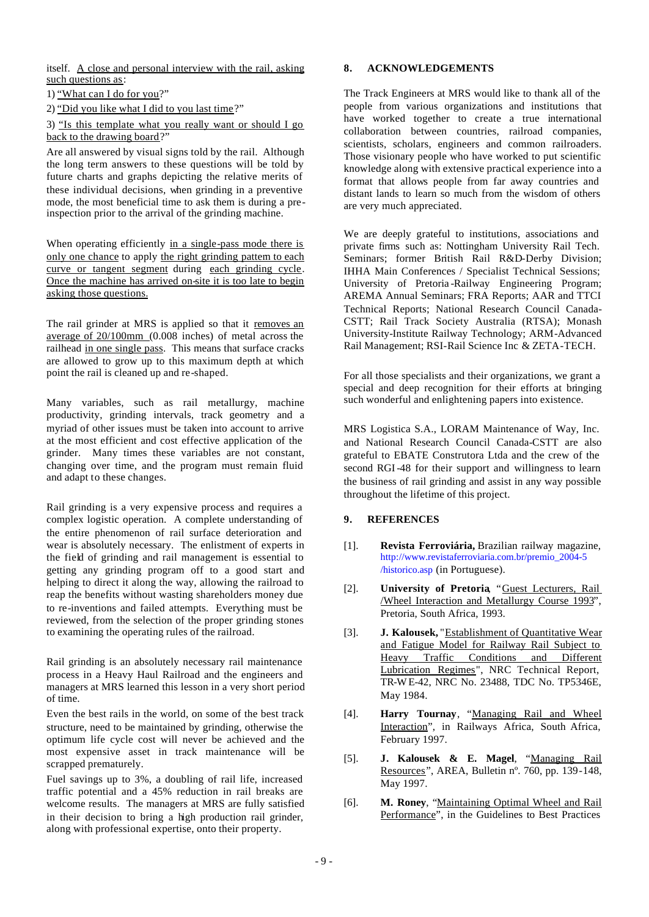itself. A close and personal interview with the rail, asking such questions as:

1) "What can I do for you?"

2) "Did you like what I did to you last time?"

## 3) "Is this template what you really want or should I go back to the drawing board?"

Are all answered by visual signs told by the rail. Although the long term answers to these questions will be told by future charts and graphs depicting the relative merits of these individual decisions, when grinding in a preventive mode, the most beneficial time to ask them is during a preinspection prior to the arrival of the grinding machine.

When operating efficiently in a single-pass mode there is only one chance to apply the right grinding pattern to each curve or tangent segment during each grinding cycle. Once the machine has arrived on-site it is too late to begin asking those questions.

The rail grinder at MRS is applied so that it removes an average of 20/100mm (0.008 inches) of metal across the railhead in one single pass. This means that surface cracks are allowed to grow up to this maximum depth at which point the rail is cleaned up and re-shaped.

Many variables, such as rail metallurgy, machine productivity, grinding intervals, track geometry and a myriad of other issues must be taken into account to arrive at the most efficient and cost effective application of the grinder. Many times these variables are not constant, changing over time, and the program must remain fluid and adapt to these changes.

Rail grinding is a very expensive process and requires a complex logistic operation. A complete understanding of the entire phenomenon of rail surface deterioration and wear is absolutely necessary. The enlistment of experts in the field of grinding and rail management is essential to getting any grinding program off to a good start and helping to direct it along the way, allowing the railroad to reap the benefits without wasting shareholders money due to re-inventions and failed attempts. Everything must be reviewed, from the selection of the proper grinding stones to examining the operating rules of the railroad.

Rail grinding is an absolutely necessary rail maintenance process in a Heavy Haul Railroad and the engineers and managers at MRS learned this lesson in a very short period of time.

Even the best rails in the world, on some of the best track structure, need to be maintained by grinding, otherwise the optimum life cycle cost will never be achieved and the most expensive asset in track maintenance will be scrapped prematurely.

Fuel savings up to 3%, a doubling of rail life, increased traffic potential and a 45% reduction in rail breaks are welcome results. The managers at MRS are fully satisfied in their decision to bring a high production rail grinder, along with professional expertise, onto their property.

## **8. ACKNOWLEDGEMENTS**

The Track Engineers at MRS would like to thank all of the people from various organizations and institutions that have worked together to create a true international collaboration between countries, railroad companies, scientists, scholars, engineers and common railroaders. Those visionary people who have worked to put scientific knowledge along with extensive practical experience into a format that allows people from far away countries and distant lands to learn so much from the wisdom of others are very much appreciated.

We are deeply grateful to institutions, associations and private firms such as: Nottingham University Rail Tech. Seminars; former British Rail R&D-Derby Division; IHHA Main Conferences / Specialist Technical Sessions; University of Pretoria -Railway Engineering Program; AREMA Annual Seminars; FRA Reports; AAR and TTCI Technical Reports; National Research Council Canada-CSTT; Rail Track Society Australia (RTSA); Monash University-Institute Railway Technology; ARM-Advanced Rail Management; RSI-Rail Science Inc & ZETA-TECH.

For all those specialists and their organizations, we grant a special and deep recognition for their efforts at bringing such wonderful and enlightening papers into existence.

MRS Logistica S.A., LORAM Maintenance of Way, Inc. and National Research Council Canada-CSTT are also grateful to EBATE Construtora Ltda and the crew of the second RGI-48 for their support and willingness to learn the business of rail grinding and assist in any way possible throughout the lifetime of this project.

## **9. REFERENCES**

- [1]. **Revista Ferroviária,** Brazilian railway magazine, http://www.revistaferroviaria.com.br/premio\_2004-5 /historico.asp (in Portuguese).
- [2]. **University of Pretoria**, "Guest Lecturers, Rail /Wheel Interaction and Metallurgy Course 1993", Pretoria, South Africa, 1993.
- [3]. **J. Kalousek,** "Establishment of Quantitative Wear and Fatigue Model for Railway Rail Subject to Heavy Traffic Conditions and Different Lubrication Regimes", NRC Technical Report, TR-W E-42, NRC No. 23488, TDC No. TP5346E, May 1984.
- [4]. **Harry Tournay**, "Managing Rail and Wheel Interaction", in Railways Africa, South Africa, February 1997.
- [5]. **J. Kalousek & E. Magel**, "Managing Rail Resources", AREA, Bulletin nº. 760, pp. 139-148, May 1997.
- [6]. **M. Roney**, "Maintaining Optimal Wheel and Rail Performance", in the Guidelines to Best Practices